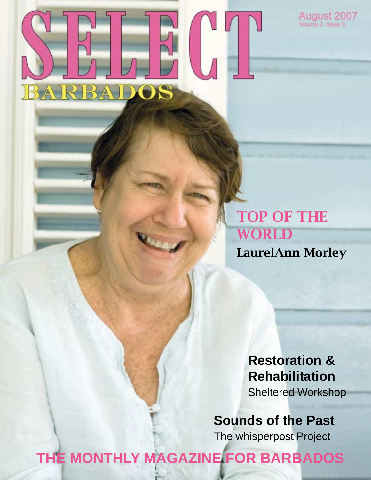

**TOP OF THE WORLD LaurelAnn Morley**

August 2007

**Restoration & Rehabilitation**

Sheltered Workshop

**Sounds of the Past** The whisperpost Project

**THE MONTHLY MAGAZINE FOR BARBADOS**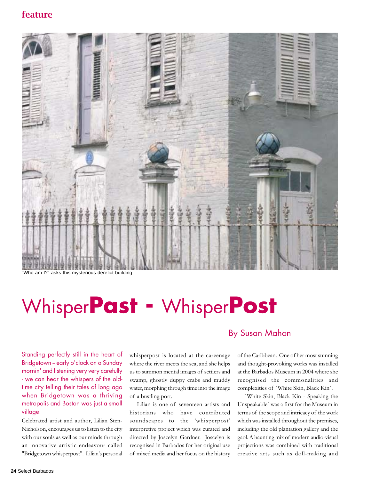

"Who am I?" asks this mysterious derelict building

# Whisper**Past -** Whisper**Post**

Standing perfectly still in the heart of Bridgetown - early o'clock on a Sunday mornin' and listening very very carefully - we can hear the whispers of the oldtime city telling their tales of long ago when Bridgetown was a thriving metropolis and Boston was just a small village.

Celebrated artist and author, Lilian Sten-Nicholson, encourages us to listen to the city with our souls as well as our minds through an innovative artistic endeavour called "Bridgetown whisperpost". Lilian's personal

whisperpost is located at the careenage where the river meets the sea, and she helps us to summon mental images of settlers and swamp, ghostly duppy crabs and muddy water, morphing through time into the image of a bustling port.

Lilian is one of seventeen artists and historians who have contributed soundscapes to the 'whisperpost' interpretive project which was curated and directed by Joscelyn Gardner. Joscelyn is recognised in Barbados for her original use of mixed media and her focus on the history

## By Susan Mahon

of the Caribbean. One of her most stunning and thought-provoking works was installed at the Barbados Museum in 2004 where she recognised the commonalities and complexities of `White Skin, Black Kin`.

`White Skin, Black Kin - Speaking the Unspeakable` was a first for the Museum in terms of the scope and intricacy of the work which was installed throughout the premises, including the old plantation gallery and the gaol. A haunting mix of modern audio-visual projections was combined with traditional creative arts such as doll-making and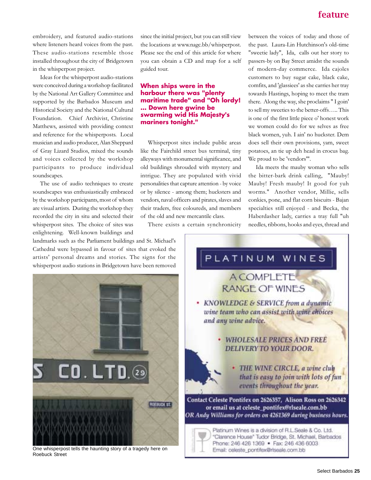embroidery, and featured audio-stations where listeners heard voices from the past. These audio-stations resemble those installed throughout the city of Bridgetown in the whisperpost project.

Ideas for the whisperpost audio-stations were conceived during a workshop facilitated by the National Art Gallery Committee and supported by the Barbados Museum and Historical Society and the National Cultural Foundation. Chief Archivist, Christine Matthews, assisted with providing context and reference for the whisperposts. Local musician and audio producer, Alan Sheppard of Gray Lizard Studios, mixed the sounds and voices collected by the workshop participants to produce individual soundscapes.

The use of audio techniques to create soundscapes was enthusiastically embraced by the workshop participants, most of whom are visual artists. During the workshop they recorded the city in situ and selected their whisperpost sites. The choice of sites was enlightening. Well-known buildings and

landmarks such as the Parliament buildings and St. Michael's Cathedral were bypassed in favour of sites that evoked the artists' personal dreams and stories. The signs for the whisperpost audio stations in Bridgetown have been removed



One whisperpost tells the haunting story of a tragedy here on Roebuck Street

since the initial project, but you can still view the locations at www.nagc.bb/whisperpost. Please see the end of this article for where you can obtain a CD and map for a self guided tour.

### **When ships were in the harbour there was "plenty maritime trade" and "Oh lordy! … Down here gwine be swarming wid His Majesty's mariners tonight."**

Whisperpost sites include public areas like the Fairchild street bus terminal, tiny alleyways with monumental significance, and old buildings shrouded with mystery and intrigue. They are populated with vivid personalities that capture attention - by voice or by silence - among them; hucksters and vendors, naval officers and pirates, slaves and their traders, free coloureds, and members of the old and new mercantile class.

There exists a certain synchronicity

between the voices of today and those of the past. Laura-Lin Hutchinson's old-time "sweetie lady", Ida, calls out her story to passers-by on Bay Street amidst the sounds of modern-day commerce. Ida cajoles customers to buy sugar cake, black cake, comfits, and 'glassiees' as she carries her tray towards Hastings, hoping to meet the tram there. Along the way, she proclaims " I goin' to sell my sweeties to the better-offs….. This is one of the first little piece o' honest work we women could do for we selves as free black women, yuh. I ain' no huckster. Dem does sell their own provisions, yam, sweet potatoes, an tie up deh head in crocus bag. We proud to be 'vendors'".

Ida meets the mauby woman who sells the bitter-bark drink calling, "Mauby! Mauby! Fresh mauby! It good for yuh worms." Another vendor, Millie, sells conkies, pone, and flat corn biscuits - Bajan specialties still enjoyed - and Becka, the Haberdasher lady, carries a tray full "uh needles, ribbons, hooks and eyes, thread and

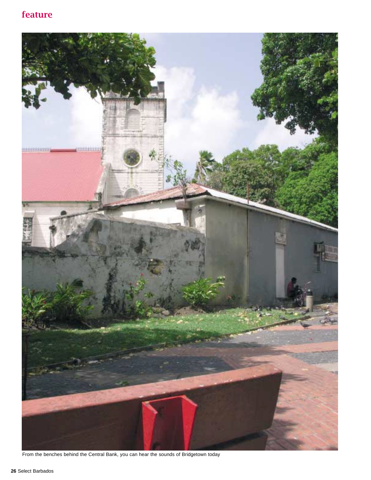# **feature**



From the benches behind the Central Bank, you can hear the sounds of Bridgetown today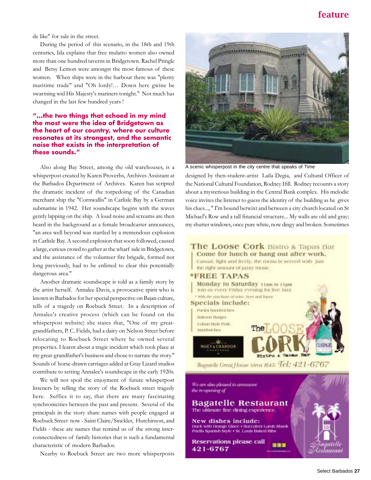## **feature**

de like" for sale in the street.

During the period of this scenario, in the 18th and 19th centuries, Ida explains that free mulatto women also owned more than one hundred taverns in Bridgetown. Rachel Pringle and Betsy Lemon were amongst the most famous of these women. When ships were in the harbour there was "plenty maritime trade" and "Oh lordy!… Down here gwine be swarming wid His Majesty's mariners tonight." Not much has changed in the last few hundred years !

#### **"...the two things that echoed in my mind the most were the idea of Bridgetown as the heart of our country, where our culture resonates at its strongest, and the semantic noise that exists in the interpretation of these sounds."**

Also along Bay Street, among the old warehouses, is a whisperpost created by Karen Proverbs, Archives Assistant at the Barbados Department of Archives. Karen has scripted the dramatic incident of the torpedoing of the Canadian merchant ship the "Cornwallis" in Carlisle Bay by a German submarine in 1942. Her soundscape begins with the waves gently lapping on the ship. A loud noise and screams are then heard in the background as a female broadcaster announces, "an area well beyond was startled by a tremendous explosion in Carlisle Bay. A second explosion that soon followed, caused a large, curious crowd to gather at the wharf side in Bridgetown, and the assistance of the volunteer fire brigade, formed not long previously, had to be enlisted to clear this potentially dangerous area."

Another dramatic soundscape is told as a family story by the artist herself. Annalee Davis, a provocative spirit who is known in Barbados for her special perspective on Bajan culture, tells of a tragedy on Roebuck Street. In a description of Annalee's creative process (which can be found on the whisperpost website) she states that, "One of my greatgrandfathers, P. C. Fields, had a dairy on Nelson Street before relocating to Roebuck Street where he owned several properties. I learnt about a tragic incident which took place at my great-grandfather's business and chose to narrate the story." Sounds of horse-drawn carriages added at Gray Lizard studios contribute to setting Annalee's soundscape in the early 1920s.

We will not spoil the enjoyment of future whisperpost listeners by telling the story of the Roebuck street tragedy here. Suffice it to say, that there are many fascinating synchronicities between the past and present. Several of the principals in the story share names with people engaged at Roebuck Street now - Saint Claire/Sinckler, Hutchinson, and Fields - these are names that remind us of the strong interconnectedness of family histories that is such a fundamental characteristic of modern Barbados.

Nearby to Roebuck Street are two more whisperposts



A scenic whisperpost in the city centre that speaks of Time

designed by then-student-artist Laila Degia, and Cultural Officer of the National Cultural Foundation, Rodney Ifill. Rodney recounts a story about a mysterious building in the Central Bank complex. His melodic voice invites the listener to guess the identity of the building as he gives his clues..., " I'm bound betwixt and between a city church located on St Michael's Row and a tall financial structure... My walls are old and gray; my shutter windows, once pure white, now dingy and broken. Sometimes

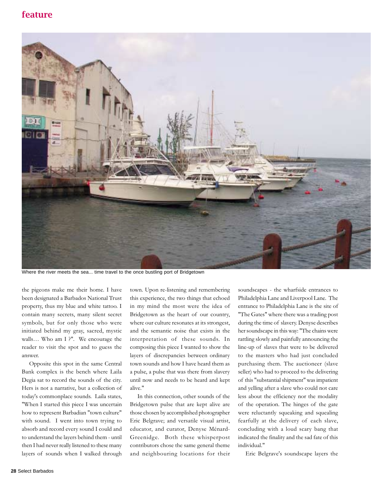## **feature**



Where the river meets the sea... time travel to the once bustling port of Bridgetown

the pigeons make me their home. I have been designated a Barbados National Trust property, thus my blue and white tattoo. I contain many secrets, many silent secret symbols, but for only those who were initiated behind my gray, sacred, mystic walls… Who am I ?". We encourage the reader to visit the spot and to guess the answer.

Opposite this spot in the same Central Bank complex is the bench where Laila Degia sat to record the sounds of the city. Hers is not a narrative, but a collection of today's commonplace sounds. Laila states, "When I started this piece I was uncertain how to represent Barbadian "town culture" with sound. I went into town trying to absorb and record every sound I could and to understand the layers behind them - until then I had never really listened to these many layers of sounds when I walked through

town. Upon re-listening and remembering this experience, the two things that echoed in my mind the most were the idea of Bridgetown as the heart of our country, where our culture resonates at its strongest, and the semantic noise that exists in the interpretation of these sounds. In composing this piece I wanted to show the layers of discrepancies between ordinary town sounds and how I have heard them as a pulse, a pulse that was there from slavery until now and needs to be heard and kept alive."

In this connection, other sounds of the Bridgetown pulse that are kept alive are those chosen by accomplished photographer Eric Belgrave; and versatile visual artist, educator, and curator, Denyse Ménard-Greenidge. Both these whisperpost contributors chose the same general theme and neighbouring locations for their

soundscapes - the wharfside entrances to Philadelphia Lane and Liverpool Lane. The entrance to Philadelphia Lane is the site of "The Gates" where there was a trading post during the time of slavery. Denyse describes her soundscape in this way: "The chains were rattling slowly and painfully announcing the line-up of slaves that were to be delivered to the masters who had just concluded purchasing them. The auctioneer (slave seller) who had to proceed to the delivering of this "substantial shipment" was impatient and yelling after a slave who could not care less about the efficiency nor the modality of the operation. The hinges of the gate were reluctantly squeaking and squealing fearfully at the delivery of each slave, concluding with a loud scary bang that indicated the finality and the sad fate of this individual."

Eric Belgrave's soundscape layers the